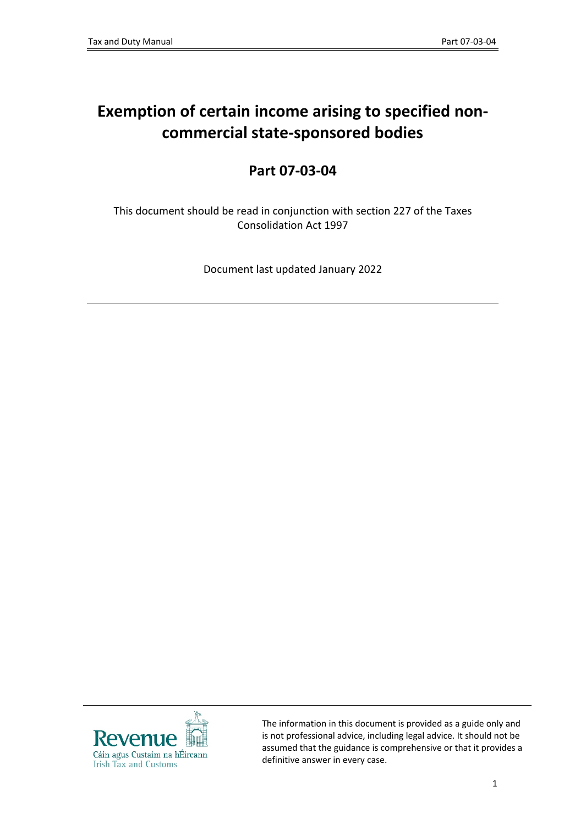# **Exemption of certain income arising to specified noncommercial state-sponsored bodies**

## **Part 07-03-04**

This document should be read in conjunction with section 227 of the Taxes Consolidation Act 1997

Document last updated January 2022



The information in this document is provided as a guide only and is not professional advice, including legal advice. It should not be assumed that the guidance is comprehensive or that it provides a definitive answer in every case.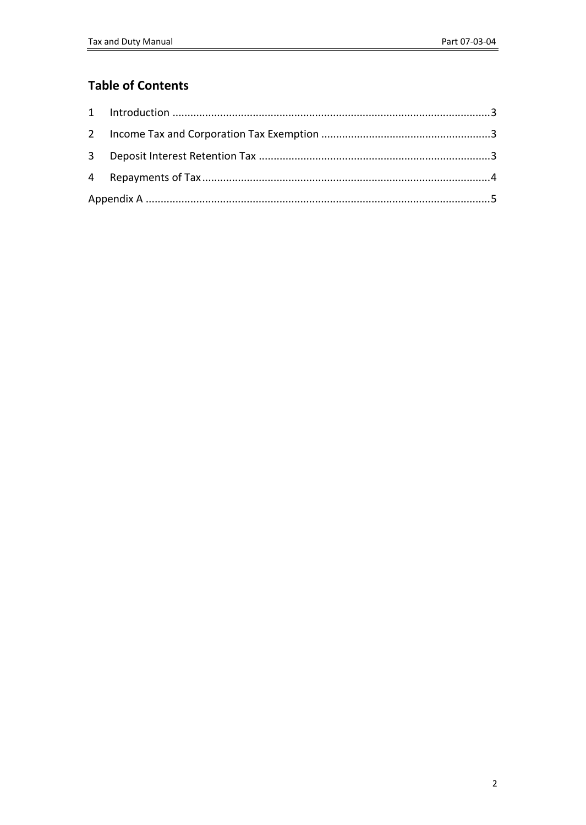## **Table of Contents**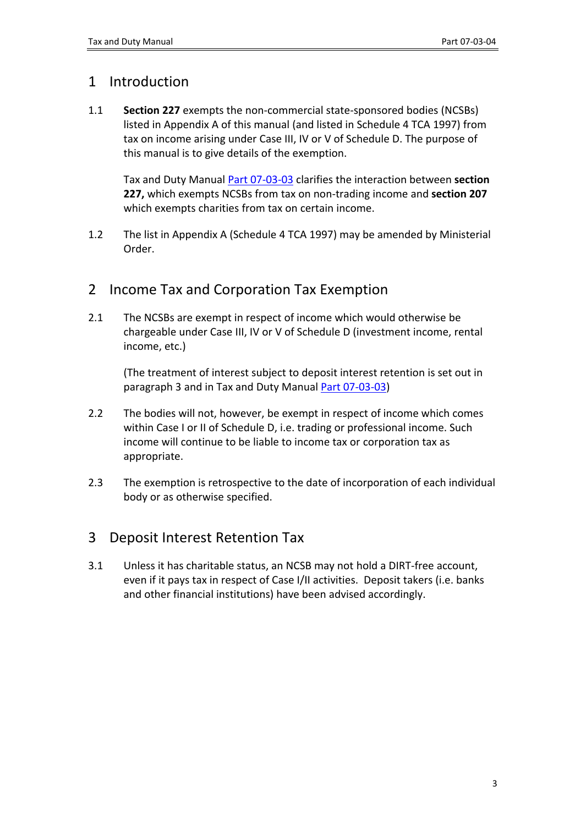### <span id="page-2-0"></span>1 Introduction

1.1 **Section 227** exempts the non-commercial state-sponsored bodies (NCSBs) listed in Appendix A of this manual (and listed in Schedule 4 TCA 1997) from tax on income arising under Case III, IV or V of Schedule D. The purpose of this manual is to give details of the exemption.

Tax and Duty Manual [Part](https://www.revenue.ie/en/tax-professionals/tdm/income-tax-capital-gains-tax-corporation-tax/part-07/07-03-03.pdf) [07-03-03](https://www.revenue.ie/en/tax-professionals/tdm/income-tax-capital-gains-tax-corporation-tax/part-07/07-03-03.pdf) clarifies the interaction between **section 227,** which exempts NCSBs from tax on non-trading income and **section 207** which exempts charities from tax on certain income.

1.2 The list in Appendix A (Schedule 4 TCA 1997) may be amended by Ministerial Order.

### <span id="page-2-1"></span>2 Income Tax and Corporation Tax Exemption

2.1 The NCSBs are exempt in respect of income which would otherwise be chargeable under Case III, IV or V of Schedule D (investment income, rental income, etc.)

(The treatment of interest subject to deposit interest retention is set out in paragraph 3 and in Tax and Duty Manual [Part](https://www.revenue.ie/en/tax-professionals/tdm/income-tax-capital-gains-tax-corporation-tax/part-07/07-03-03.pdf) [07-03-03](https://www.revenue.ie/en/tax-professionals/tdm/income-tax-capital-gains-tax-corporation-tax/part-07/07-03-03.pdf))

- 2.2 The bodies will not, however, be exempt in respect of income which comes within Case I or II of Schedule D, i.e. trading or professional income. Such income will continue to be liable to income tax or corporation tax as appropriate.
- 2.3 The exemption is retrospective to the date of incorporation of each individual body or as otherwise specified.

## <span id="page-2-2"></span>3 Deposit Interest Retention Tax

3.1 Unless it has charitable status, an NCSB may not hold a DIRT-free account, even if it pays tax in respect of Case I/II activities. Deposit takers (i.e. banks and other financial institutions) have been advised accordingly.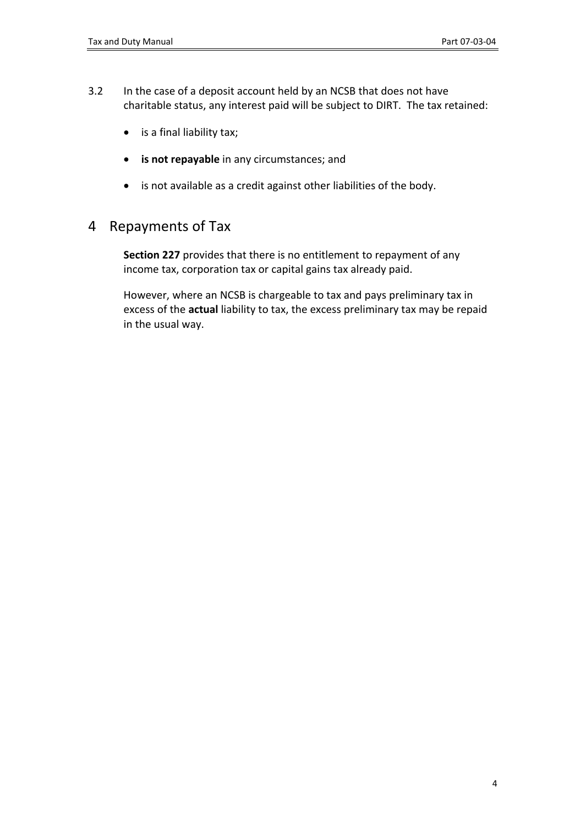- 3.2 In the case of a deposit account held by an NCSB that does not have charitable status, any interest paid will be subject to DIRT. The tax retained:
	- is a final liability tax;
	- **is not repayable** in any circumstances; and
	- is not available as a credit against other liabilities of the body.

### <span id="page-3-0"></span>4 Repayments of Tax

**Section 227** provides that there is no entitlement to repayment of any income tax, corporation tax or capital gains tax already paid.

However, where an NCSB is chargeable to tax and pays preliminary tax in excess of the **actual** liability to tax, the excess preliminary tax may be repaid in the usual way.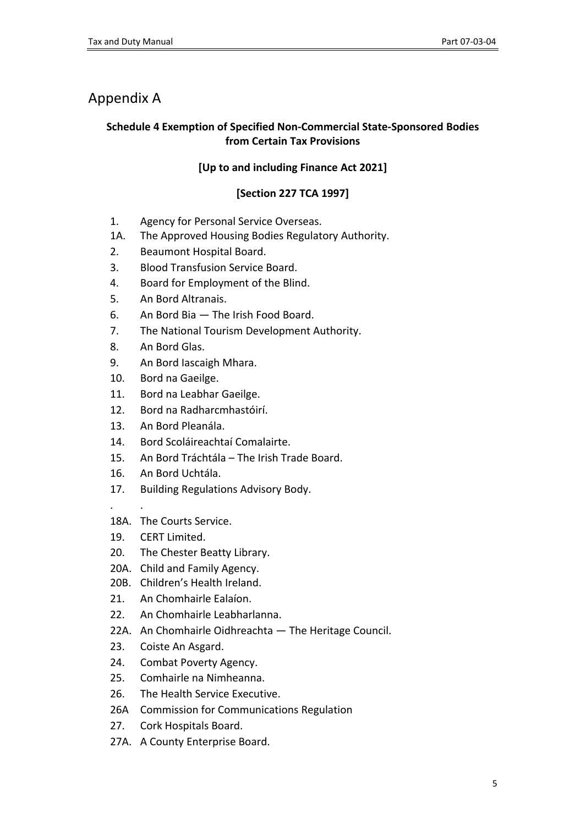## <span id="page-4-0"></span>Appendix A

#### **Schedule 4 Exemption of Specified Non-Commercial State-Sponsored Bodies from Certain Tax Provisions**

#### **[Up to and including Finance Act 2021]**

#### **[Section 227 TCA 1997]**

- 1. Agency for Personal Service Overseas.
- 1A. The Approved Housing Bodies Regulatory Authority.
- 2. Beaumont Hospital Board.
- 3. Blood Transfusion Service Board.
- 4. Board for Employment of the Blind.
- 5. An Bord Altranais.
- 6. An Bord Bia The Irish Food Board.
- 7. The National Tourism Development Authority.
- 8. An Bord Glas.
- 9. An Bord Iascaigh Mhara.
- 10. Bord na Gaeilge.
- 11. Bord na Leabhar Gaeilge.
- 12. Bord na Radharcmhastóirí.
- 13. An Bord Pleanála.
- 14. Bord Scoláireachtaí Comalairte.
- 15. An Bord Tráchtála The Irish Trade Board.
- 16. An Bord Uchtála.
- 17. Building Regulations Advisory Body.
- . .
- 18A. The Courts Service.
- 19. CERT Limited.
- 20. The Chester Beatty Library.
- 20A. Child and Family Agency.
- 20B. Children's Health Ireland.
- 21. An Chomhairle Ealaíon.
- 22. An Chomhairle Leabharlanna.
- 22A. An Chomhairle Oidhreachta The Heritage Council.
- 23. Coiste An Asgard.
- 24. Combat Poverty Agency.
- 25. Comhairle na Nimheanna.
- 26. The Health Service Executive.
- 26A Commission for Communications Regulation
- 27. Cork Hospitals Board.
- 27A. A County Enterprise Board.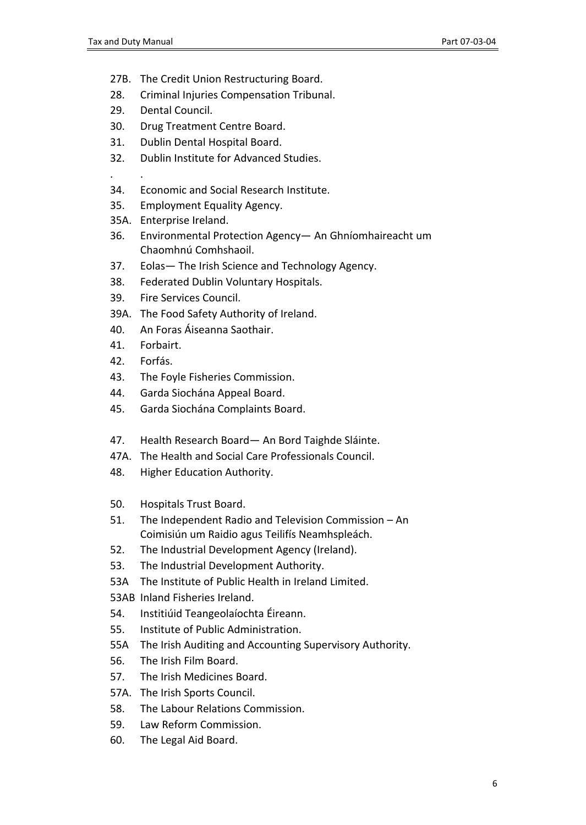- 27B. The Credit Union Restructuring Board.
- 28. Criminal Injuries Compensation Tribunal.
- 29. Dental Council.
- 30. Drug Treatment Centre Board.
- 31. Dublin Dental Hospital Board.
- 32. Dublin Institute for Advanced Studies.

. .

- 34. Economic and Social Research Institute.
- 35. Employment Equality Agency.
- 35A. Enterprise Ireland.
- 36. Environmental Protection Agency— An Ghníomhaireacht um Chaomhnú Comhshaoil.
- 37. Eolas— The Irish Science and Technology Agency.
- 38. Federated Dublin Voluntary Hospitals.
- 39. Fire Services Council.
- 39A. The Food Safety Authority of Ireland.
- 40. An Foras Áiseanna Saothair.
- 41. Forbairt.
- 42. Forfás.
- 43. The Foyle Fisheries Commission.
- 44. Garda Siochána Appeal Board.
- 45. Garda Siochána Complaints Board.
- 47. Health Research Board— An Bord Taighde Sláinte.
- 47A. The Health and Social Care Professionals Council.
- 48. Higher Education Authority.
- 50. Hospitals Trust Board.
- 51. The Independent Radio and Television Commission An Coimisiún um Raidio agus Teilifís Neamhspleách.
- 52. The Industrial Development Agency (Ireland).
- 53. The Industrial Development Authority.
- 53A The Institute of Public Health in Ireland Limited.
- 53AB Inland Fisheries Ireland.
- 54. Institiúid Teangeolaíochta Éireann.
- 55. Institute of Public Administration.
- 55A The Irish Auditing and Accounting Supervisory Authority.
- 56. The Irish Film Board.
- 57. The Irish Medicines Board.
- 57A. The Irish Sports Council.
- 58. The Labour Relations Commission.
- 59. Law Reform Commission.
- 60. The Legal Aid Board.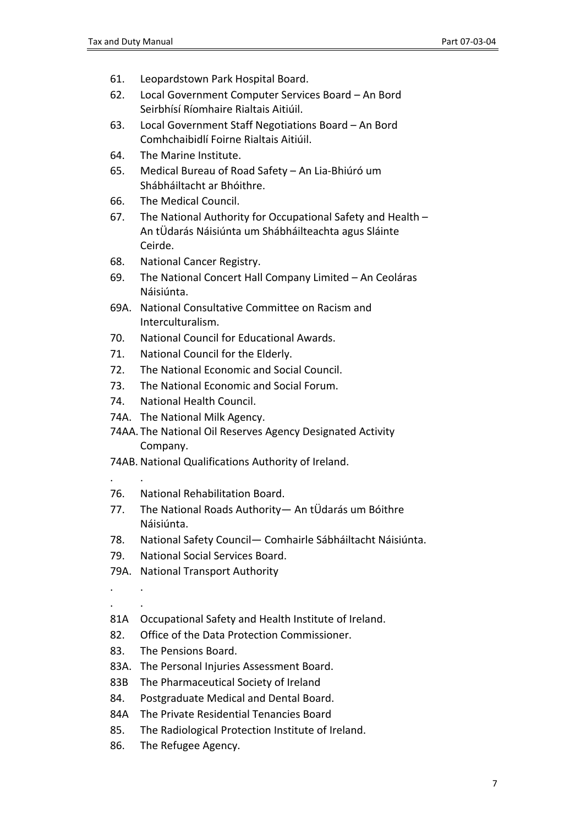- 61. Leopardstown Park Hospital Board.
- 62. Local Government Computer Services Board An Bord Seirbhísí Ríomhaire Rialtais Aitiúil.
- 63. Local Government Staff Negotiations Board An Bord Comhchaibidlí Foirne Rialtais Aitiúil.
- 64. The Marine Institute.
- 65. Medical Bureau of Road Safety An Lia-Bhiúró um Shábháiltacht ar Bhóithre.
- 66. The Medical Council.
- 67. The National Authority for Occupational Safety and Health An tÜdarás Náisiúnta um Shábháilteachta agus Sláinte Ceirde.
- 68. National Cancer Registry.
- 69. The National Concert Hall Company Limited An Ceoláras Náisiúnta.
- 69A. National Consultative Committee on Racism and Interculturalism.
- 70. National Council for Educational Awards.
- 71. National Council for the Elderly.
- 72. The National Economic and Social Council.
- 73. The National Economic and Social Forum.
- 74. National Health Council.
- 74A. The National Milk Agency.
- 74AA. The National Oil Reserves Agency Designated Activity Company.
- 74AB. National Qualifications Authority of Ireland.
- 76. National Rehabilitation Board.
- 77. The National Roads Authority— An tÜdarás um Bóithre Náisiúnta.
- 78. National Safety Council— Comhairle Sábháiltacht Náisiúnta.
- 79. National Social Services Board.
- 79A. National Transport Authority
- . . . .

. .

- 81A Occupational Safety and Health Institute of Ireland.
- 82. Office of the Data Protection Commissioner.
- 83. The Pensions Board.
- 83A. The Personal Injuries Assessment Board.
- 83B The Pharmaceutical Society of Ireland
- 84. Postgraduate Medical and Dental Board.
- 84A The Private Residential Tenancies Board
- 85. The Radiological Protection Institute of Ireland.
- 86. The Refugee Agency.